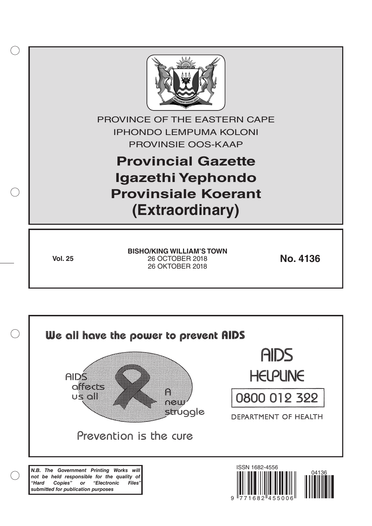

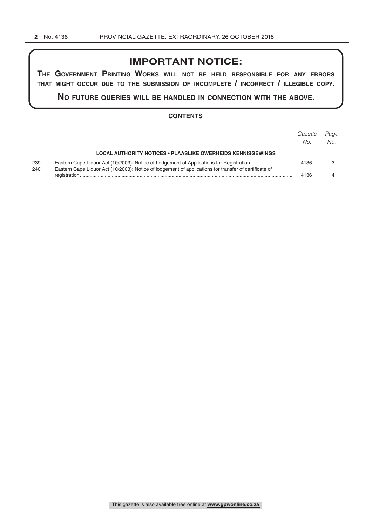# **IMPORTANT NOTICE:**

**The GovernmenT PrinTinG Works Will noT be held resPonsible for any errors ThaT miGhT occur due To The submission of incomPleTe / incorrecT / illeGible coPy.**

**no fuTure queries Will be handled in connecTion WiTh The above.**

### **CONTENTS**

|            |                                                                                                       | Gazette<br>No. | Page<br>No. |
|------------|-------------------------------------------------------------------------------------------------------|----------------|-------------|
|            | <b>LOCAL AUTHORITY NOTICES • PLAASLIKE OWERHEIDS KENNISGEWINGS</b>                                    |                |             |
| 239<br>240 | Eastern Cape Liquor Act (10/2003): Notice of lodgement of applications for transfer of certificate of | 4136           |             |
|            |                                                                                                       | 4136           |             |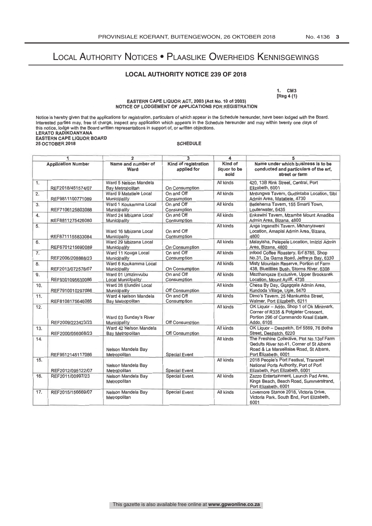## Local Authority Notices • Plaaslike Owerheids Kennisgewings

#### **LOCAL AUTHORITY NOTICE 239 OF 2018**

 $1.$  CM3 [ $N$ eg 4 (1)

EASTERN CAPE LIQUOR ACT, 2003 (Act No. 10 of 2003) NOTICE OF LODGEMENT OF APPLICATIONS FOR REGISTRATION

Notice is hereby given that the applications for registration, particulars of which appear in the Schedule hereunder, have been lodged with the Board. Interested parties may, free of charge, inspect any application which appears in the Schedule hereunder and may within twenty one days of this notice, lodge with the Board written representations in support of, or written objections. LERATO RADIKOANYANA EASTERN CAPE LIQUOR BOARD

25 OCTOBER 2018 SCHEDULE

|                           | 1                 | $\overline{2}$                                    | 3                                   | 4                               | 5                                                                                                                                                         |
|---------------------------|-------------------|---------------------------------------------------|-------------------------------------|---------------------------------|-----------------------------------------------------------------------------------------------------------------------------------------------------------|
| <b>Application Number</b> |                   | Name and number of<br>Ward                        | Kind of registration<br>applied for | Kind of<br>liquor to be<br>sold | Name under which business is to be<br>conducted and particulars of the erf,<br>street or farm                                                             |
| 1.                        | REF2018/451574/07 | Ward 5 Nelson Mandela<br><b>Bay Metropolitan</b>  | On Consumption                      | All kinds                       | 420, 13B Rink Street, Central, Port<br>Elizabeth, 6001                                                                                                    |
| 2.                        | REF9811100771089  | Ward 9 Matatiele Local<br>Municipality            | On and Off<br>Consumption           | All kinds                       | Mntungwa Tavern, Gudlintaba Location, Sibi<br>Admin Area, Matatiele, 4730                                                                                 |
| 3.                        | REF7106125803088  | Ward 1 Koukamma Local<br>Municipality             | On and Off<br>Consumption           | All kinds                       | Betlehema Tavern, 155 Smarti Town,<br>Louterwater, 6435                                                                                                   |
| 4.                        | REF8811275426080  | Ward 24 Mbizana Local<br>Municipality             | On and Off<br>Consumption           | All kinds                       | Enkawini Tavern, Mzamba Mount Amadiba<br>Admin Area, Bizana, 4800                                                                                         |
| 5.                        | REF8711155833084  | Ward 16 Mbizana Local<br>Municipality             | On and Off<br>Consumption           | All kinds                       | Anga Inganathi Tavern, Mkhanyisweni<br>Location, Amapisi Admin Area, Bizana,<br>4800                                                                      |
| 6.                        | REF6701215690089  | Ward 29 Mbizana Local<br>Municipality             | On Consumption                      | All kinds                       | Malayisha, Pelepele Location, Imizizi Admin<br>Area, Bizana, 4800                                                                                         |
| 7.                        | REF2006/208888/23 | Ward 11 Kouga Local<br>Municipality               | On and Off<br>Consumption           | All kinds                       | Infood Coffee Roastery, Erf 8785, Shop<br>No.31, Da Gama Road, Jeffreys Bay, 6330                                                                         |
| 8.                        | REF2013/072578/07 | Ward 6 Koukamma Local<br>Municipality             | On Consumption                      | All kinds                       | Misty Mountain Reserve, Portion of Farm<br>438, Bluelillies Bush, Storms River, 6308                                                                      |
| 9.                        | REF9301095630086  | Ward 01 Umzimvubu<br><b>Local Municipality</b>    | On and Off<br>Consumption           | All kinds                       | Mazthangaze Exclusive, Upper Brooksnek<br>Location, Mount Ayliff, 4735                                                                                    |
| 10.                       | REF7910010297086  | Ward 26 Elundini Local<br>Municipality            | Off Consumption                     | All kinds                       | Chesa By Day, Gqagqala Admin Area,<br>Kundoda Village, Ugie, 5470                                                                                         |
| 11.                       | REF8108175646085  | Ward 4 Nelson Mandela<br><b>Bay Metropolitan</b>  | On and Off<br>Consumption           | All kinds                       | Dimo's Tavern, 25 Ntankumba Street,<br>Walmer, Port Elizabeth, 6211                                                                                       |
| 12.                       | REF2009/223423/23 | Ward 03 Sunday's River<br>Municipality            | Off Consumption                     | All kinds                       | OK Liquor - Addo, Shop 1 of Ok Minimark,<br>Corner of R335 & Potgieter Crescent,<br>Portion 296 of Commando Kraal Estate,<br>Addo, 6105                   |
| 13.                       | REF2000/056068/23 | Ward 42 Nelson Mandela<br><b>Bay Metropolitan</b> | Off Consumption                     | All kinds                       | OK Liquor - Despatch, Erf 5569, 76 Botha<br>Street, Despatch, 6220                                                                                        |
| 14.                       | REF9512145117086  | Nelson Mandela Bay<br>Metropolitan                | <b>Special Event</b>                | All kinds                       | The Freshine Collective, Plot No.13of Farm<br>Gedults River No.41, Corner of St Albans<br>Road & La Marseillaise Road, St Albans,<br>Port Elizabeth, 6001 |
| 15.                       | REF2012/095122/07 | Nelson Mandela Bay<br>Metropolitan                | <b>Special Event</b>                | All kinds                       | 2018 People's Port Festival, Transnet<br>National Ports Authority, Port of Port<br>Elizabeth, Port Elizabeth, 6001                                        |
| 16.                       | REF2011/00997/23  | Nelson Mandela Bay<br>Metropolitan                | <b>Special Event</b>                | All kinds                       | Zazzo Entertainment, Launch Pad Area,<br>Kings Beach, Beach Road, Summerstrand,<br>Port Elizabeth, 6001                                                   |
| 17.                       | REF2015/156669/07 | Nelson Mandela Bay<br>Metropolitan                | <b>Special Event</b>                | All kinds                       | Lovemore Stance 2018, Victoria Drive,<br>Victoria Park, South End, Port Elizabeth,<br>6001                                                                |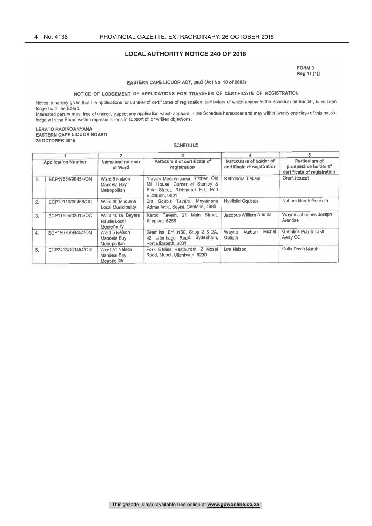### **LOCAL AUTHORITY NOTICE 240 OF 2018**

FORM 9 Reg 11 (1)]

#### EASTERN CAPE LIQUOR ACT, 2003 (Act No. 10 of 2003)

## NOTICE OF LODGEMENT OF APPLICATIONS FOR TRANSFER OF CERTIFICATE OF REGISTRATION

Notice is hereby given that the applications for transfer of certificates of registration, particulars of which appear in the Schedule hereunder, have been lodged with the Board.

Interested parties may, free of charge, inspect any application which appears in the Schedule hereunder and may within twenty one days of this notice, lodge with the Board written representations in support of, or written objections.

#### LERATO RADIKOANYANA EASTERN CAPE LIQUOR BOARD 25 OCTOBER 2018

SCHEDULE

|                           |                   |                                                   |                                                                                                                              |                                                         | 5                                                                      |
|---------------------------|-------------------|---------------------------------------------------|------------------------------------------------------------------------------------------------------------------------------|---------------------------------------------------------|------------------------------------------------------------------------|
| <b>Application Number</b> |                   | Name and number<br>of Ward                        | Particulars of certificate of<br>registration                                                                                | Particulars of holder of<br>certificate of registration | Particulars of<br>prospective holder of<br>certificate of registration |
| 1.                        | ECP19854/90454/ON | Ward 5 Nelson<br>Mandela Bay<br>Metropolitan      | Yiavias Mediterranean Kitchen, Old<br>Mill House, Corner of Stanley &<br>Bain Street, Richmond Hill, Port<br>Elizabeth, 6001 | Rehvindra Tiekam                                        | <b>Grant Houzet</b>                                                    |
| 2.                        | ECP10110/90466/OO | Ward 30 Mnguma<br><b>Local Municipality</b>       | Bra Gqub's Tavern, Mnyamana<br>Admin Area, Sevisi, Centane, 4980                                                             | Nyelisile Gqubela                                       | Nobom Norah Gqubela                                                    |
| 3.                        | ECP11904/03015/OO | Ward 10 Dr. Beyers<br>Naude Local<br>Municipality | Main Street,<br>Karoo Tavern, 21<br>Klipplaat, 6255                                                                          | Jacobus William Arends                                  | Wayne Johannes Joseph<br>Arendse                                       |
| 4.                        | ECP19676/90454/ON | Ward 5 Nelson<br>Mandela Bay<br>Metropolitan      | Gremlins, Erf 3160, Shop 2 & 2A,<br>42 Uitenhage Road, Sydenham,<br>Port Elizabeth, 6001                                     | Michel<br>Wayne<br>Aurbun<br>Goliath                    | Gremlins Pub & Take<br>Away CC                                         |
| 5.                        | ECP24187/90454/ON | Ward 51 Nelson<br>Mandeal Bay<br>Metropolitan     | Pork Bellies Restaurant, 2 Mosel<br>Road, Mosel, Uitenhage, 6230                                                             | Lee Nelson                                              | Colin David Marsh                                                      |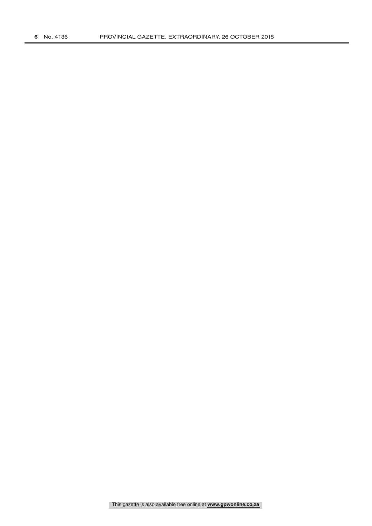This gazette is also available free online at **www.gpwonline.co.za**